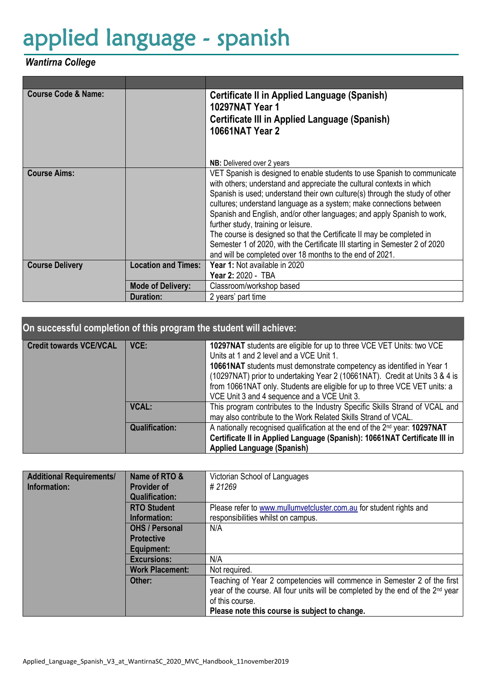## applied language - spanish

## *Wantirna College*

| <b>Course Code &amp; Name:</b> |                            | Certificate II in Applied Language (Spanish)                                |  |  |
|--------------------------------|----------------------------|-----------------------------------------------------------------------------|--|--|
|                                |                            | <b>10297NAT Year 1</b>                                                      |  |  |
|                                |                            | <b>Certificate III in Applied Language (Spanish)</b>                        |  |  |
|                                |                            | <b>10661NAT Year 2</b>                                                      |  |  |
|                                |                            |                                                                             |  |  |
|                                |                            |                                                                             |  |  |
|                                |                            | <b>NB:</b> Delivered over 2 years                                           |  |  |
| <b>Course Aims:</b>            |                            | VET Spanish is designed to enable students to use Spanish to communicate    |  |  |
|                                |                            | with others; understand and appreciate the cultural contexts in which       |  |  |
|                                |                            | Spanish is used; understand their own culture(s) through the study of other |  |  |
|                                |                            | cultures; understand language as a system; make connections between         |  |  |
|                                |                            | Spanish and English, and/or other languages; and apply Spanish to work,     |  |  |
|                                |                            | further study, training or leisure.                                         |  |  |
|                                |                            | The course is designed so that the Certificate II may be completed in       |  |  |
|                                |                            | Semester 1 of 2020, with the Certificate III starting in Semester 2 of 2020 |  |  |
|                                |                            | and will be completed over 18 months to the end of 2021.                    |  |  |
| <b>Course Delivery</b>         | <b>Location and Times:</b> | Year 1: Not available in 2020                                               |  |  |
|                                |                            | Year 2: 2020 - TBA                                                          |  |  |
|                                | <b>Mode of Delivery:</b>   | Classroom/workshop based                                                    |  |  |
|                                | <b>Duration:</b>           | 2 years' part time                                                          |  |  |

## **On successful completion of this program the student will achieve:**

| <b>Credit towards VCE/VCAL</b> | VCE:                  | 10297NAT students are eligible for up to three VCE VET Units: two VCE<br>Units at 1 and 2 level and a VCE Unit 1.<br>10661NAT students must demonstrate competency as identified in Year 1<br>(10297NAT) prior to undertaking Year 2 (10661NAT). Credit at Units 3 & 4 is<br>from 10661NAT only. Students are eligible for up to three VCE VET units: a<br>VCE Unit 3 and 4 sequence and a VCE Unit 3. |
|--------------------------------|-----------------------|--------------------------------------------------------------------------------------------------------------------------------------------------------------------------------------------------------------------------------------------------------------------------------------------------------------------------------------------------------------------------------------------------------|
|                                | <b>VCAL:</b>          | This program contributes to the Industry Specific Skills Strand of VCAL and<br>may also contribute to the Work Related Skills Strand of VCAL.                                                                                                                                                                                                                                                          |
|                                | <b>Qualification:</b> | A nationally recognised qualification at the end of the 2 <sup>nd</sup> year: <b>10297NAT</b><br>Certificate II in Applied Language (Spanish): 10661NAT Certificate III in<br><b>Applied Language (Spanish)</b>                                                                                                                                                                                        |

| <b>Additional Requirements/</b> | Name of RTO &          | Victorian School of Languages                                                               |
|---------------------------------|------------------------|---------------------------------------------------------------------------------------------|
| Information:                    | <b>Provider of</b>     | # 21269                                                                                     |
|                                 | <b>Qualification:</b>  |                                                                                             |
|                                 | <b>RTO Student</b>     | Please refer to www.mullumvetcluster.com.au for student rights and                          |
|                                 | Information:           | responsibilities whilst on campus.                                                          |
|                                 | <b>OHS / Personal</b>  | N/A                                                                                         |
|                                 | <b>Protective</b>      |                                                                                             |
|                                 | Equipment:             |                                                                                             |
|                                 | <b>Excursions:</b>     | N/A                                                                                         |
|                                 | <b>Work Placement:</b> | Not required.                                                                               |
|                                 | Other:                 | Teaching of Year 2 competencies will commence in Semester 2 of the first                    |
|                                 |                        | year of the course. All four units will be completed by the end of the 2 <sup>nd</sup> year |
|                                 |                        | of this course.                                                                             |
|                                 |                        | Please note this course is subject to change.                                               |